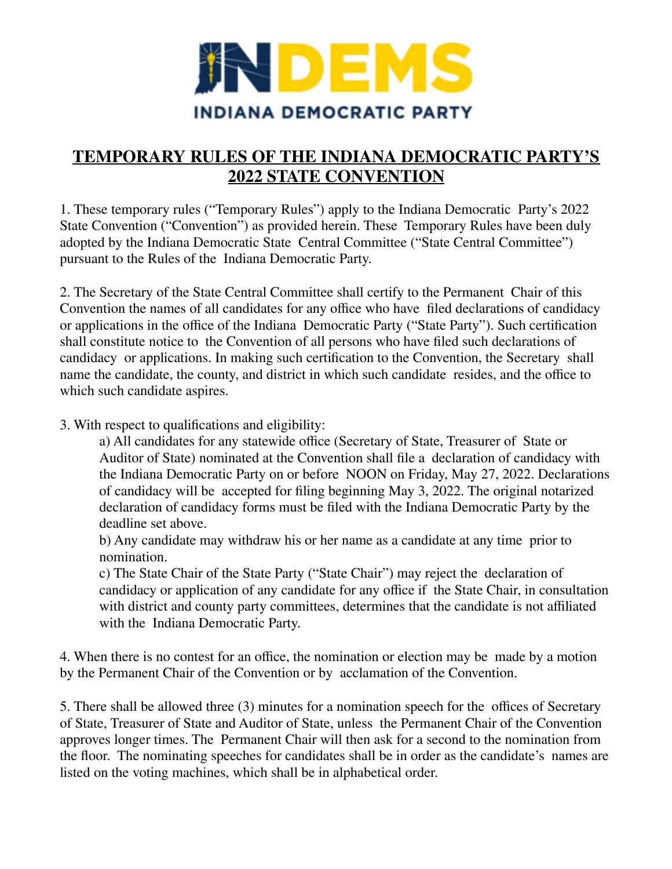

## **TEMPORARY RULES OF THE INDIANA DEMOCRATIC PARTY'S 2022 STATE CONVENTION**

1. These temporary rules ("Temporary Rules") apply to the Indiana Democratic Party's 2022 State Convention ("Convention") as provided herein. These Temporary Rules have been duly adopted by the Indiana Democratic State Central Committee ("State Central Committee") pursuant to the Rules of the Indiana Democratic Party.

2. The Secretary of the State Central Committee shall certify to the Permanent Chair of this Convention the names of all candidates for any office who have filed declarations of candidacy or applications in the office of the Indiana Democratic Party ("State Party"). Such certification shall constitute notice to the Convention of all persons who have filed such declarations of candidacy or applications. In making such certification to the Convention, the Secretary shall name the candidate, the county, and district in which such candidate resides, and the office to which such candidate aspires.

## 3. With respect to qualifications and eligibility:

a) All candidates for any statewide office (Secretary of State, Treasurer of State or Auditor of State) nominated at the Convention shall file a declaration of candidacy with the Indiana Democratic Party on or before NOON on Friday, May 27, 2022. Declarations of candidacy will be accepted for filing beginning May 3, 2022. The original notarized declaration of candidacy forms must be filed with the Indiana Democratic Party by the deadline set above.

b) Any candidate may withdraw his or her name as a candidate at any time prior to nomination.

c) The State Chair of the State Party ("State Chair") may reject the declaration of candidacy or application of any candidate for any office if the State Chair, in consultation with district and county party committees, determines that the candidate is not affiliated with the Indiana Democratic Party.

4. When there is no contest for an office, the nomination or election may be made by a motion by the Permanent Chair of the Convention or by acclamation of the Convention.

5. There shall be allowed three (3) minutes for a nomination speech for the offices of Secretary of State, Treasurer of State and Auditor of State, unless the Permanent Chair of the Convention approves longer times. The Permanent Chair will then ask for a second to the nomination from the floor. The nominating speeches for candidates shall be in order as the candidate's names are listed on the voting machines, which shall be in alphabetical order.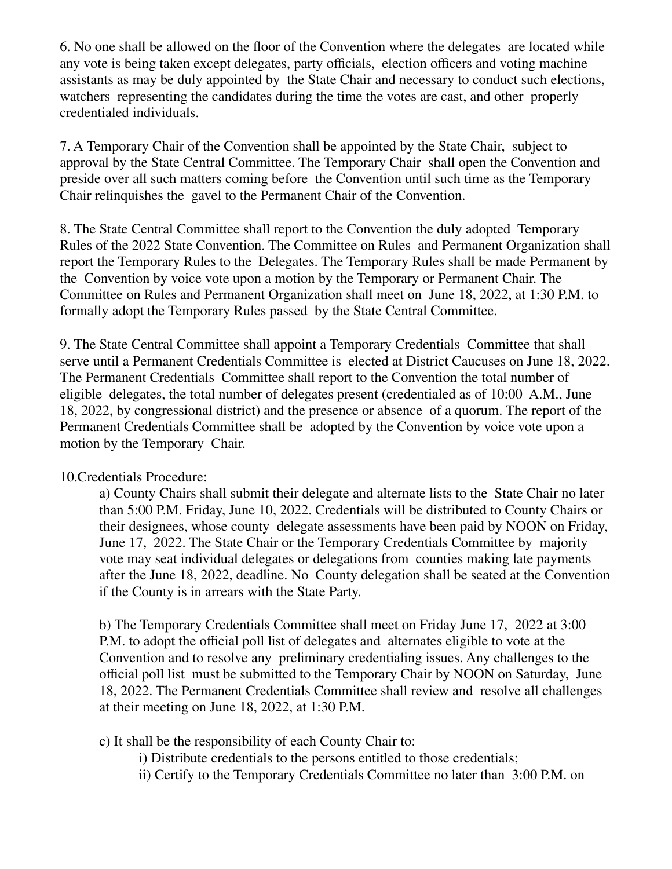6. No one shall be allowed on the floor of the Convention where the delegates are located while any vote is being taken except delegates, party officials, election officers and voting machine assistants as may be duly appointed by the State Chair and necessary to conduct such elections, watchers representing the candidates during the time the votes are cast, and other properly credentialed individuals.

7. A Temporary Chair of the Convention shall be appointed by the State Chair, subject to approval by the State Central Committee. The Temporary Chair shall open the Convention and preside over all such matters coming before the Convention until such time as the Temporary Chair relinquishes the gavel to the Permanent Chair of the Convention.

8. The State Central Committee shall report to the Convention the duly adopted Temporary Rules of the 2022 State Convention. The Committee on Rules and Permanent Organization shall report the Temporary Rules to the Delegates. The Temporary Rules shall be made Permanent by the Convention by voice vote upon a motion by the Temporary or Permanent Chair. The Committee on Rules and Permanent Organization shall meet on June 18, 2022, at 1:30 P.M. to formally adopt the Temporary Rules passed by the State Central Committee.

9. The State Central Committee shall appoint a Temporary Credentials Committee that shall serve until a Permanent Credentials Committee is elected at District Caucuses on June 18, 2022. The Permanent Credentials Committee shall report to the Convention the total number of eligible delegates, the total number of delegates present (credentialed as of 10:00 A.M., June 18, 2022, by congressional district) and the presence or absence of a quorum. The report of the Permanent Credentials Committee shall be adopted by the Convention by voice vote upon a motion by the Temporary Chair.

## 10.Credentials Procedure:

a) County Chairs shall submit their delegate and alternate lists to the State Chair no later than 5:00 P.M. Friday, June 10, 2022. Credentials will be distributed to County Chairs or their designees, whose county delegate assessments have been paid by NOON on Friday, June 17, 2022. The State Chair or the Temporary Credentials Committee by majority vote may seat individual delegates or delegations from counties making late payments after the June 18, 2022, deadline. No County delegation shall be seated at the Convention if the County is in arrears with the State Party.

b) The Temporary Credentials Committee shall meet on Friday June 17, 2022 at 3:00 P.M. to adopt the official poll list of delegates and alternates eligible to vote at the Convention and to resolve any preliminary credentialing issues. Any challenges to the official poll list must be submitted to the Temporary Chair by NOON on Saturday, June 18, 2022. The Permanent Credentials Committee shall review and resolve all challenges at their meeting on June 18, 2022, at 1:30 P.M.

c) It shall be the responsibility of each County Chair to:

i) Distribute credentials to the persons entitled to those credentials;

ii) Certify to the Temporary Credentials Committee no later than 3:00 P.M. on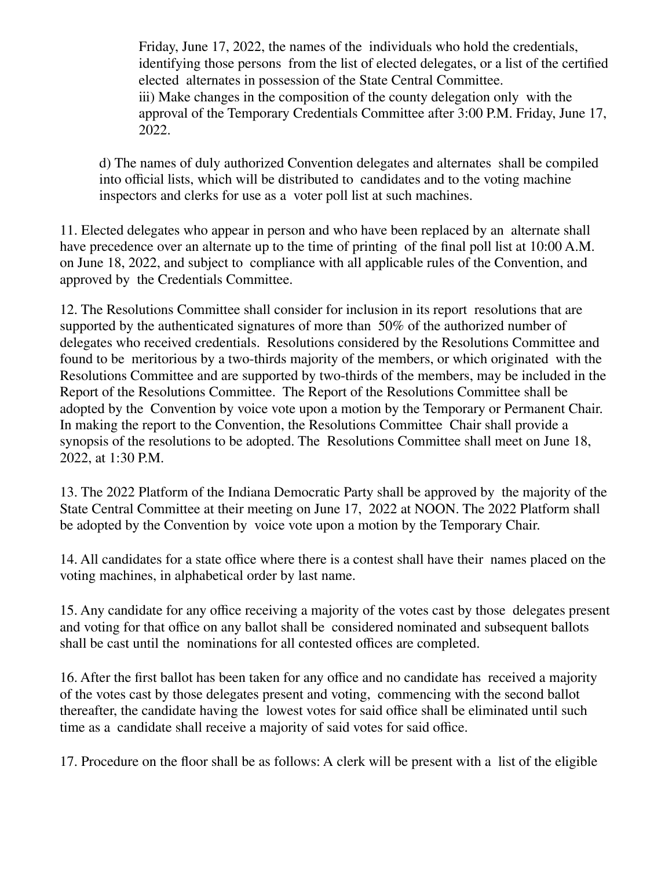Friday, June 17, 2022, the names of the individuals who hold the credentials, identifying those persons from the list of elected delegates, or a list of the certified elected alternates in possession of the State Central Committee. iii) Make changes in the composition of the county delegation only with the approval of the Temporary Credentials Committee after 3:00 P.M. Friday, June 17, 2022.

d) The names of duly authorized Convention delegates and alternates shall be compiled into official lists, which will be distributed to candidates and to the voting machine inspectors and clerks for use as a voter poll list at such machines.

11. Elected delegates who appear in person and who have been replaced by an alternate shall have precedence over an alternate up to the time of printing of the final poll list at 10:00 A.M. on June 18, 2022, and subject to compliance with all applicable rules of the Convention, and approved by the Credentials Committee.

12. The Resolutions Committee shall consider for inclusion in its report resolutions that are supported by the authenticated signatures of more than 50% of the authorized number of delegates who received credentials. Resolutions considered by the Resolutions Committee and found to be meritorious by a two-thirds majority of the members, or which originated with the Resolutions Committee and are supported by two-thirds of the members, may be included in the Report of the Resolutions Committee. The Report of the Resolutions Committee shall be adopted by the Convention by voice vote upon a motion by the Temporary or Permanent Chair. In making the report to the Convention, the Resolutions Committee Chair shall provide a synopsis of the resolutions to be adopted. The Resolutions Committee shall meet on June 18, 2022, at 1:30 P.M.

13. The 2022 Platform of the Indiana Democratic Party shall be approved by the majority of the State Central Committee at their meeting on June 17, 2022 at NOON. The 2022 Platform shall be adopted by the Convention by voice vote upon a motion by the Temporary Chair.

14. All candidates for a state office where there is a contest shall have their names placed on the voting machines, in alphabetical order by last name.

15. Any candidate for any office receiving a majority of the votes cast by those delegates present and voting for that office on any ballot shall be considered nominated and subsequent ballots shall be cast until the nominations for all contested offices are completed.

16. After the first ballot has been taken for any office and no candidate has received a majority of the votes cast by those delegates present and voting, commencing with the second ballot thereafter, the candidate having the lowest votes for said office shall be eliminated until such time as a candidate shall receive a majority of said votes for said office.

17. Procedure on the floor shall be as follows: A clerk will be present with a list of the eligible